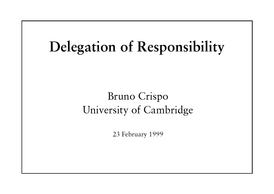# **Delegation of Responsibility**

### Bruno Crispo University of Cambridge

23 February 1999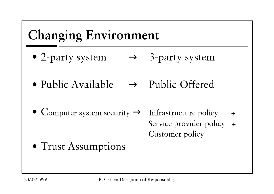## **Changing Environment**

- 2-party system  $\rightarrow$  3-party system
- Public Available  $\rightarrow$  Public Offered
- Computer system security  $\rightarrow$  Infrastructure policy  $+$ Service provider policy + Customer policy
- Trust Assumptions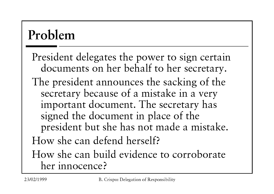# Problem

President delegates the power to sign certain documents on her behalf to her secretary. The president announces the sacking of the secretary because of a mistake in a very important document. The secretary has signed the document in place of the president but she has not made a mistake. How she can defend herself? How she can build evidence to corroborate her innocence?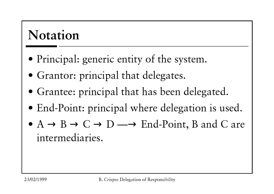## **Notation**

- Principal: generic entity of the system.
- Grantor: principal that delegates.
- Grantee: principal that has been delegated.
- End-Point: principal where delegation is used.
- $\bullet$  A  $\rightarrow$  B  $\rightarrow$  C  $\rightarrow$  D  $\rightarrow$  End-Point, B and C are intermediaries.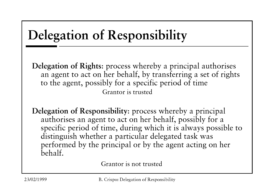# **Delegation of Responsibility**

Delegation of Rights: process whereby a principal authorises an agent to act on her behalf, by transferring a set of rights to the agent, possibly for a specific period of time Grantor is trusted

Delegation of Responsibility: process whereby a principal authorises an agent to act on her behalf, possibly for a specific period of time, during which it is always possible to distinguish whether a particular delegated task was performed by the principal or by the agent acting on her behalf.

Grantor is not trusted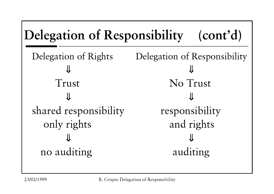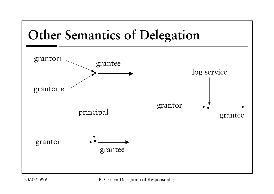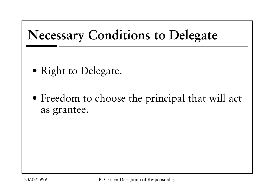

- Right to Delegate.
- Freedom to choose the principal that will act as grantee.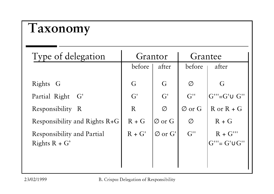### **Taxonomy**

| Type of delegation                                   | Grantor  |                     | Grantee            |                                                                           |
|------------------------------------------------------|----------|---------------------|--------------------|---------------------------------------------------------------------------|
|                                                      | before   | after               | before             | after                                                                     |
| Rights G                                             | G        | G                   | Ø                  | G                                                                         |
| Partial Right<br>G'                                  | G'       | G'                  | $G^{\prime\prime}$ | $G^{\prime\prime\prime}$ = $G^{\prime}\cup G^{\prime\prime}$              |
| Responsibility R                                     | R        | $\varnothing$       | $\varnothing$ or G | $R$ or $R + G$                                                            |
| Responsibility and Rights R+G                        | $R + G$  | $\emptyset$ or G    | Ø                  | $R + G$                                                                   |
| <b>Responsibility and Partial</b><br>Rights $R + G'$ | $R + G'$ | $\varnothing$ or G' | $G^{\prime\prime}$ | $R + G'''$<br>$G^{\prime\prime\prime} = G^{\prime} \cup G^{\prime\prime}$ |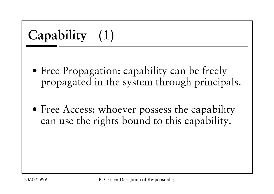- Free Propagation: capability can be freely propagated in the system through principals.
- Free Access: whoever possess the capability can use the rights bound to this capability.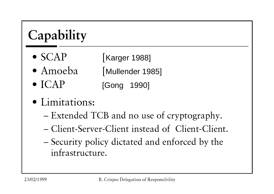# Capability

- $\bullet$  SCAP **Karger 1988**
- $\bullet$  Amoeba Mullender 1985]
- $\bullet$  ICAP [Gong 1990]
- · Limitations:
	- Extended TCB and no use of cryptography.
	- Client-Server-Client instead of Client-Client.
	- Security policy dictated and enforced by the infrastructure.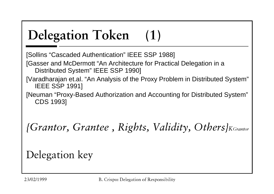#### **Delegation Token**  $(1)$

[Sollins "Cascaded Authentication" IEEE SSP 1988]

[Gasser and McDermott "An Architecture for Practical Delegation in a Distributed System" IEEE SSP 1990]

- [Varadharajan et.al. "An Analysis of the Proxy Problem in Distributed System" **IEEE SSP 1991]**
- [Neuman "Proxy-Based Authorization and Accounting for Distributed System" **CDS 1993]**

{Grantor, Grantee, Rights, Validity, Others}KGrantor

Delegation key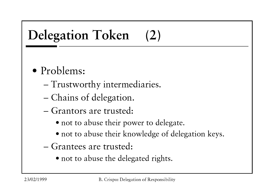#### **Delegation Token**  $(2)$

### · Problems:

- Trustworthy intermediaries.
- Chains of delegation.
- Grantors are trusted:
	- not to abuse their power to delegate.
	- not to abuse their knowledge of delegation keys.
- Grantees are trusted:
	- not to abuse the delegated rights.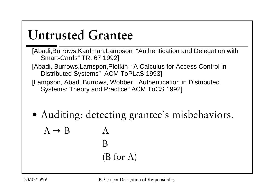## **Untrusted Grantee**

- [Abadi, Burrows, Kaufman, Lampson "Authentication and Delegation with Smart-Cards" TR. 67 1992]
- [Abadi, Burrows, Lamspon, Plotkin "A Calculus for Access Control in Distributed Systems" ACM ToPLaS 1993]
- [Lampson, Abadi, Burrows, Wobber "Authentication in Distributed" Systems: Theory and Practice" ACM ToCS 1992]
- Auditing: detecting grantee's misbehaviors.
	- $A \rightarrow B$  $\mathsf{A}$ B  $(B for A)$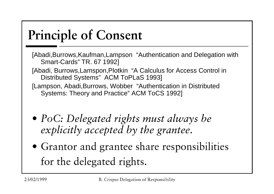#### Principle of Consent

- [Abadi,Burrows,Kaufman,Lampson "Authentication and Delegation with Smart-Cards" TR. 67 1992]
- [Abadi, Burrows,Lamspon,Plotkin "A Calculus for Access Control in Distributed Systems" ACM ToPLaS 1993]
- [Lampson, Abadi,Burrows, Wobber "Authentication in Distributed Systems: Theory and Practice" ACM ToCS 1992]
- $\bullet$  PoC: Delegated rights must always be explicitly accepted by the grantee.
- $\bullet$  Grantor and grantee share responsibilities for the delegated rights.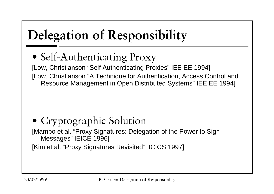# **Delegation of Responsibility**

• Self-Authenticating Proxy

[Low, Christianson "Self Authenticating Proxies" IEE EE 1994] [Low, Christianson "A Technique for Authentication, Access Control and Resource Management in Open Distributed Systems" IEE EE 1994]

• Cryptographic Solution [Mambo et al. "Proxy Signatures: Delegation of the Power to Sign Messages" IEICE 1996] [Kim et al. "Proxy Signatures Revisited" ICICS 1997]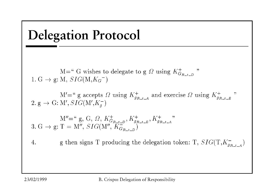

23/02/1999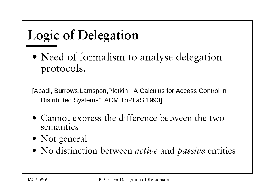# **Logic of Delegation**

• Need of formalism to analyse delegation protocols.

[Abadi, Burrows, Lamspon, Plotkin "A Calculus for Access Control in Distributed Systems" ACM ToPLaS 1993]

- Cannot express the difference between the two semantics
- Not general
- No distinction between *active* and *passive* entities